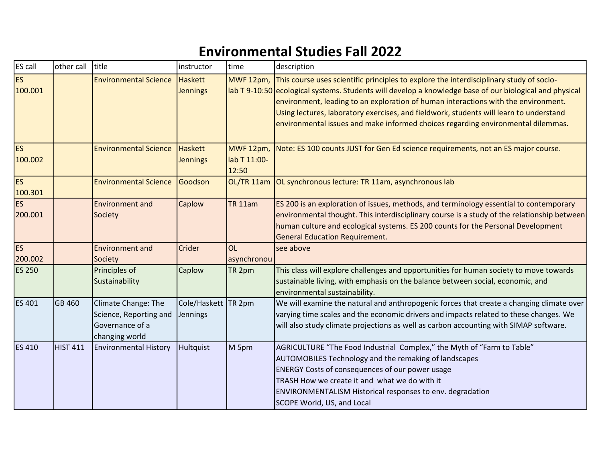## Environmental Studies Fall 2022

| ES call              | other call      | title                                                                              | instructor                        | time                  | description                                                                                                                                                                                                                                                                                                                                                                                                                                                                      |
|----------------------|-----------------|------------------------------------------------------------------------------------|-----------------------------------|-----------------------|----------------------------------------------------------------------------------------------------------------------------------------------------------------------------------------------------------------------------------------------------------------------------------------------------------------------------------------------------------------------------------------------------------------------------------------------------------------------------------|
| <b>ES</b><br>100.001 |                 | <b>Environmental Science</b>                                                       | <b>Haskett</b><br>Jennings        |                       | MWF 12pm, This course uses scientific principles to explore the interdisciplinary study of socio-<br>lab T 9-10:50 ecological systems. Students will develop a knowledge base of our biological and physical<br>environment, leading to an exploration of human interactions with the environment.<br>Using lectures, laboratory exercises, and fieldwork, students will learn to understand<br>environmental issues and make informed choices regarding environmental dilemmas. |
| <b>ES</b><br>100.002 |                 | <b>Environmental Science</b>                                                       | <b>Haskett</b><br>Jennings        | lab T 11:00-<br>12:50 | MWF 12pm, Note: ES 100 counts JUST for Gen Ed science requirements, not an ES major course.                                                                                                                                                                                                                                                                                                                                                                                      |
| <b>ES</b><br>100.301 |                 | <b>Environmental Science</b>                                                       | Goodson                           |                       | OL/TR 11am OL synchronous lecture: TR 11am, asynchronous lab                                                                                                                                                                                                                                                                                                                                                                                                                     |
| <b>ES</b><br>200.001 |                 | <b>Environment and</b><br>Society                                                  | Caplow                            | <b>TR 11am</b>        | ES 200 is an exploration of issues, methods, and terminology essential to contemporary<br>environmental thought. This interdisciplinary course is a study of the relationship between<br>human culture and ecological systems. ES 200 counts for the Personal Development<br><b>General Education Requirement.</b>                                                                                                                                                               |
| <b>ES</b><br>200.002 |                 | <b>Environment and</b><br>Society                                                  | Crider                            | OL<br>asynchronou     | see above                                                                                                                                                                                                                                                                                                                                                                                                                                                                        |
| <b>ES 250</b>        |                 | Principles of<br>Sustainability                                                    | Caplow                            | TR <sub>2pm</sub>     | This class will explore challenges and opportunities for human society to move towards<br>sustainable living, with emphasis on the balance between social, economic, and<br>environmental sustainability.                                                                                                                                                                                                                                                                        |
| <b>ES 401</b>        | GB 460          | Climate Change: The<br>Science, Reporting and<br>Governance of a<br>changing world | Cole/Haskett   TR 2pm<br>Jennings |                       | We will examine the natural and anthropogenic forces that create a changing climate over<br>varying time scales and the economic drivers and impacts related to these changes. We<br>will also study climate projections as well as carbon accounting with SIMAP software.                                                                                                                                                                                                       |
| <b>ES 410</b>        | <b>HIST 411</b> | <b>Environmental History</b>                                                       | Hultquist                         | M 5pm                 | AGRICULTURE "The Food Industrial Complex," the Myth of "Farm to Table"<br><b>AUTOMOBILES Technology and the remaking of landscapes</b><br><b>ENERGY Costs of consequences of our power usage</b><br>TRASH How we create it and what we do with it<br><b>ENVIRONMENTALISM Historical responses to env. degradation</b><br><b>SCOPE World, US, and Local</b>                                                                                                                       |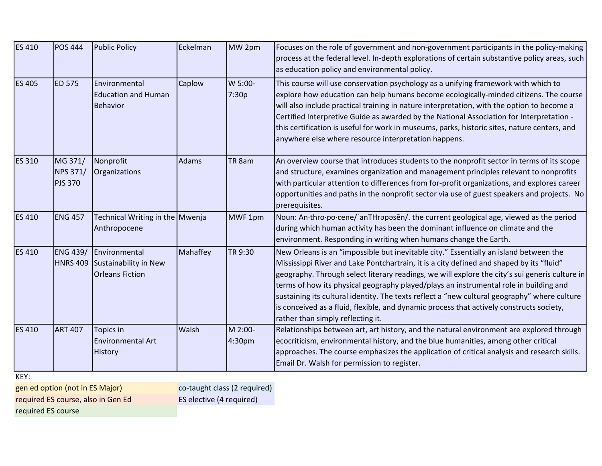| <b>ES 410</b> | <b>POS 444</b>                               | Public Policy                                                             | Eckelman | MW 2pm            | Focuses on the role of government and non-government participants in the policy-making<br>process at the federal level. In-depth explorations of certain substantive policy areas, such<br>as education policy and environmental policy.                                                                                                                                                                                                                                                                                                                                                                      |
|---------------|----------------------------------------------|---------------------------------------------------------------------------|----------|-------------------|---------------------------------------------------------------------------------------------------------------------------------------------------------------------------------------------------------------------------------------------------------------------------------------------------------------------------------------------------------------------------------------------------------------------------------------------------------------------------------------------------------------------------------------------------------------------------------------------------------------|
| <b>ES 405</b> | ED 575                                       | Environmental<br><b>Education and Human</b><br>Behavior                   | Caplow   | W 5:00-<br>7:30p  | This course will use conservation psychology as a unifying framework with which to<br>explore how education can help humans become ecologically-minded citizens. The course<br>will also include practical training in nature interpretation, with the option to become a<br>Certified Interpretive Guide as awarded by the National Association for Interpretation -<br>this certification is useful for work in museums, parks, historic sites, nature centers, and<br>anywhere else where resource interpretation happens.                                                                                 |
| <b>ES 310</b> | MG 371/<br><b>NPS 371/</b><br><b>PJS 370</b> | Nonprofit<br>Organizations                                                | Adams    | TR <sub>8am</sub> | An overview course that introduces students to the nonprofit sector in terms of its scope<br>and structure, examines organization and management principles relevant to nonprofits<br>with particular attention to differences from for-profit organizations, and explores career<br>opportunities and paths in the nonprofit sector via use of guest speakers and projects. No<br>prerequisites.                                                                                                                                                                                                             |
| <b>ES 410</b> | <b>ENG 457</b>                               | Technical Writing in the Mwenja<br>Anthropocene                           |          | MWF 1pm           | Noun: An thro po cene/anTHrapasen/. the current geological age, viewed as the period<br>during which human activity has been the dominant influence on climate and the<br>environment. Responding in writing when humans change the Earth.                                                                                                                                                                                                                                                                                                                                                                    |
| <b>ES 410</b> | ENG 439/                                     | Environmental<br>HNRS 409 Sustainability in New<br><b>Orleans Fiction</b> | Mahaffey | TR 9:30           | New Orleans is an "impossible but inevitable city." Essentially an island between the<br>Mississippi River and Lake Pontchartrain, it is a city defined and shaped by its "fluid"<br>geography. Through select literary readings, we will explore the city's sui generis culture in<br>terms of how its physical geography played/plays an instrumental role in building and<br>sustaining its cultural identity. The texts reflect a "new cultural geography" where culture<br>is conceived as a fluid, flexible, and dynamic process that actively constructs society,<br>rather than simply reflecting it. |
| <b>ES 410</b> | <b>ART 407</b>                               | Topics in<br>Environmental Art<br>History                                 | Walsh    | M 2:00-<br>4:30pm | Relationships between art, art history, and the natural environment are explored through<br>ecocriticism, environmental history, and the blue humanities, among other critical<br>approaches. The course emphasizes the application of critical analysis and research skills.<br>Email Dr. Walsh for permission to register.                                                                                                                                                                                                                                                                                  |

KEY:

gen ed option (not in ES Major) required ES course, also in Gen Ed required ES course

co-taught class (2 required)

ES elective (4 required)